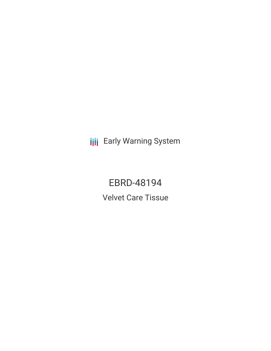**III** Early Warning System

EBRD-48194 Velvet Care Tissue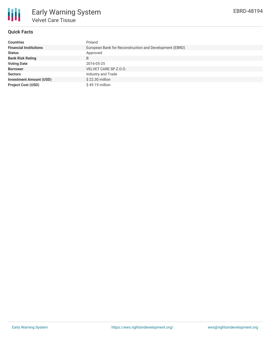

# **Quick Facts**

| <b>Countries</b>               | Poland                                                  |
|--------------------------------|---------------------------------------------------------|
| <b>Financial Institutions</b>  | European Bank for Reconstruction and Development (EBRD) |
| <b>Status</b>                  | Approved                                                |
| <b>Bank Risk Rating</b>        | B                                                       |
| <b>Voting Date</b>             | 2016-05-25                                              |
| <b>Borrower</b>                | VELVET CARE SP.Z.O.O.                                   |
| <b>Sectors</b>                 | Industry and Trade                                      |
| <b>Investment Amount (USD)</b> | \$22.30 million                                         |
| <b>Project Cost (USD)</b>      | $$49.19$ million                                        |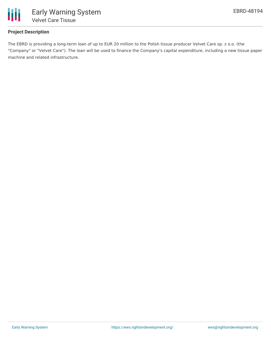

# **Project Description**

The EBRD is providing a long-term loan of up to EUR 20 million to the Polish tissue producer Velvet Care sp. z o.o. (the "Company" or "Velvet Care"). The loan will be used to finance the Company's capital expenditure, including a new tissue paper machine and related infrastructure.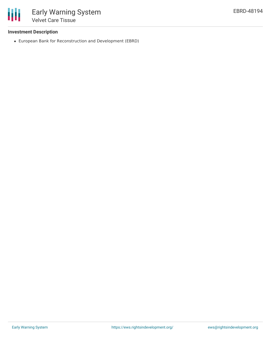

## **Investment Description**

European Bank for Reconstruction and Development (EBRD)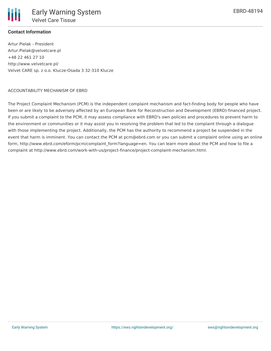

# **Contact Information**

Artur Pielak - President Artur.Pielak@velvetcare.pl +48 22 461 27 10 http://www.velvetcare.pl/ Velvet CARE sp. z o.o. Klucze-Osada 3 32-310 Klucze

#### ACCOUNTABILITY MECHANISM OF EBRD

The Project Complaint Mechanism (PCM) is the independent complaint mechanism and fact-finding body for people who have been or are likely to be adversely affected by an European Bank for Reconstruction and Development (EBRD)-financed project. If you submit a complaint to the PCM, it may assess compliance with EBRD's own policies and procedures to prevent harm to the environment or communities or it may assist you in resolving the problem that led to the complaint through a dialogue with those implementing the project. Additionally, the PCM has the authority to recommend a project be suspended in the event that harm is imminent. You can contact the PCM at pcm@ebrd.com or you can submit a complaint online using an online form, http://www.ebrd.com/eform/pcm/complaint\_form?language=en. You can learn more about the PCM and how to file a complaint at http://www.ebrd.com/work-with-us/project-finance/project-complaint-mechanism.html.